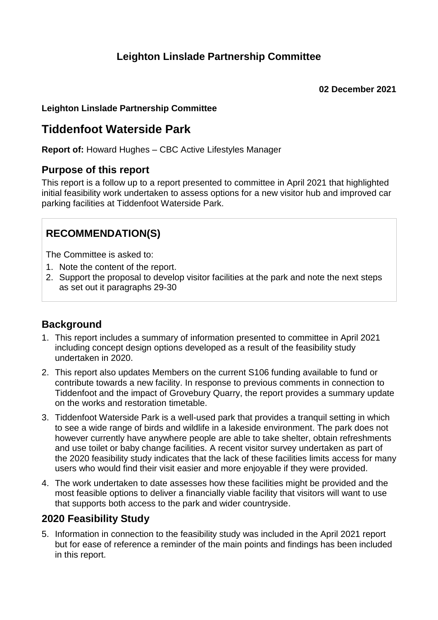## **Leighton Linslade Partnership Committee**

#### **Leighton Linslade Partnership Committee**

# **Tiddenfoot Waterside Park**

**Report of:** Howard Hughes – CBC Active Lifestyles Manager

#### **Purpose of this report**

This report is a follow up to a report presented to committee in April 2021 that highlighted initial feasibility work undertaken to assess options for a new visitor hub and improved car parking facilities at Tiddenfoot Waterside Park.

## **RECOMMENDATION(S)**

The Committee is asked to:

- 1. Note the content of the report.
- 2. Support the proposal to develop visitor facilities at the park and note the next steps as set out it paragraphs 29-30

### **Background**

- 1. This report includes a summary of information presented to committee in April 2021 including concept design options developed as a result of the feasibility study undertaken in 2020.
- 2. This report also updates Members on the current S106 funding available to fund or contribute towards a new facility. In response to previous comments in connection to Tiddenfoot and the impact of Grovebury Quarry, the report provides a summary update on the works and restoration timetable.
- 3. Tiddenfoot Waterside Park is a well-used park that provides a tranquil setting in which to see a wide range of birds and wildlife in a lakeside environment. The park does not however currently have anywhere people are able to take shelter, obtain refreshments and use toilet or baby change facilities. A recent visitor survey undertaken as part of the 2020 feasibility study indicates that the lack of these facilities limits access for many users who would find their visit easier and more enjoyable if they were provided.
- 4. The work undertaken to date assesses how these facilities might be provided and the most feasible options to deliver a financially viable facility that visitors will want to use that supports both access to the park and wider countryside.

### **2020 Feasibility Study**

5. Information in connection to the feasibility study was included in the April 2021 report but for ease of reference a reminder of the main points and findings has been included in this report.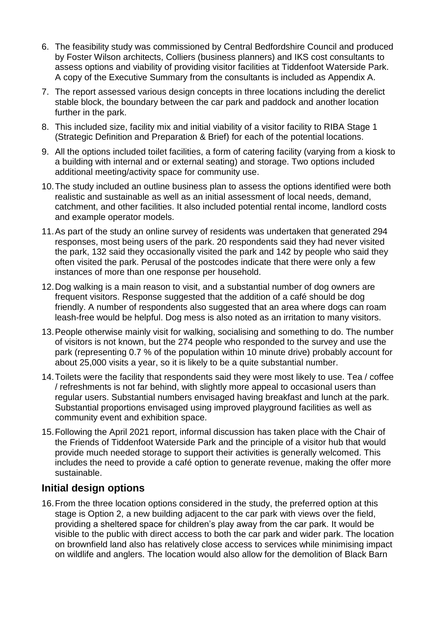- 6. The feasibility study was commissioned by Central Bedfordshire Council and produced by Foster Wilson architects, Colliers (business planners) and IKS cost consultants to assess options and viability of providing visitor facilities at Tiddenfoot Waterside Park. A copy of the Executive Summary from the consultants is included as Appendix A.
- 7. The report assessed various design concepts in three locations including the derelict stable block, the boundary between the car park and paddock and another location further in the park.
- 8. This included size, facility mix and initial viability of a visitor facility to RIBA Stage 1 (Strategic Definition and Preparation & Brief) for each of the potential locations.
- 9. All the options included toilet facilities, a form of catering facility (varying from a kiosk to a building with internal and or external seating) and storage. Two options included additional meeting/activity space for community use.
- 10.The study included an outline business plan to assess the options identified were both realistic and sustainable as well as an initial assessment of local needs, demand, catchment, and other facilities. It also included potential rental income, landlord costs and example operator models.
- 11.As part of the study an online survey of residents was undertaken that generated 294 responses, most being users of the park. 20 respondents said they had never visited the park, 132 said they occasionally visited the park and 142 by people who said they often visited the park. Perusal of the postcodes indicate that there were only a few instances of more than one response per household.
- 12.Dog walking is a main reason to visit, and a substantial number of dog owners are frequent visitors. Response suggested that the addition of a café should be dog friendly. A number of respondents also suggested that an area where dogs can roam leash-free would be helpful. Dog mess is also noted as an irritation to many visitors.
- 13.People otherwise mainly visit for walking, socialising and something to do. The number of visitors is not known, but the 274 people who responded to the survey and use the park (representing 0.7 % of the population within 10 minute drive) probably account for about 25,000 visits a year, so it is likely to be a quite substantial number.
- 14.Toilets were the facility that respondents said they were most likely to use. Tea / coffee / refreshments is not far behind, with slightly more appeal to occasional users than regular users. Substantial numbers envisaged having breakfast and lunch at the park. Substantial proportions envisaged using improved playground facilities as well as community event and exhibition space.
- 15.Following the April 2021 report, informal discussion has taken place with the Chair of the Friends of Tiddenfoot Waterside Park and the principle of a visitor hub that would provide much needed storage to support their activities is generally welcomed. This includes the need to provide a café option to generate revenue, making the offer more sustainable.

### **Initial design options**

16.From the three location options considered in the study, the preferred option at this stage is Option 2, a new building adjacent to the car park with views over the field, providing a sheltered space for children's play away from the car park. It would be visible to the public with direct access to both the car park and wider park. The location on brownfield land also has relatively close access to services while minimising impact on wildlife and anglers. The location would also allow for the demolition of Black Barn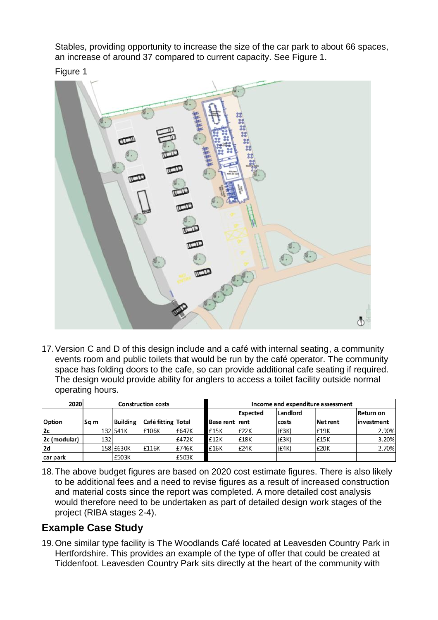Stables, providing opportunity to increase the size of the car park to about 66 spaces, an increase of around 37 compared to current capacity. See Figure 1.

Figure 1



17.Version C and D of this design include and a café with internal seating, a community events room and public toilets that would be run by the café operator. The community space has folding doors to the cafe, so can provide additional cafe seating if required. The design would provide ability for anglers to access a toilet facility outside normal operating hours.

| 2020         | <b>Construction costs</b> |                 |                    |       | Income and expenditure assessment |          |            |          |            |
|--------------|---------------------------|-----------------|--------------------|-------|-----------------------------------|----------|------------|----------|------------|
|              |                           |                 |                    |       |                                   | Expected | l Landlord |          | Return on  |
| Option       | Sg m                      | <b>Building</b> | Café fitting Total |       | <b>Base rent rent</b>             |          | costs      | Net rent | investment |
| 2c           |                           | 132 541K        | £106K              | £647K | £15K                              | £22K     | (E3K)      | £19K     | 2.90%      |
| 2c (modular) | 132                       |                 |                    | £472K | £12K                              | £18K     | (E3K)      | E15K     | 3.20%      |
| 2d           |                           | 158 £630K       | £116K              | £746K | £16K                              | £24K     | (E4K)      | £20K     | 2.70%      |
| car park     |                           | £503K           |                    | £503K |                                   |          |            |          |            |

18.The above budget figures are based on 2020 cost estimate figures. There is also likely to be additional fees and a need to revise figures as a result of increased construction and material costs since the report was completed. A more detailed cost analysis would therefore need to be undertaken as part of detailed design work stages of the project (RIBA stages 2-4).

## **Example Case Study**

19.One similar type facility is The Woodlands Café located at Leavesden Country Park in Hertfordshire. This provides an example of the type of offer that could be created at Tiddenfoot. Leavesden Country Park sits directly at the heart of the community with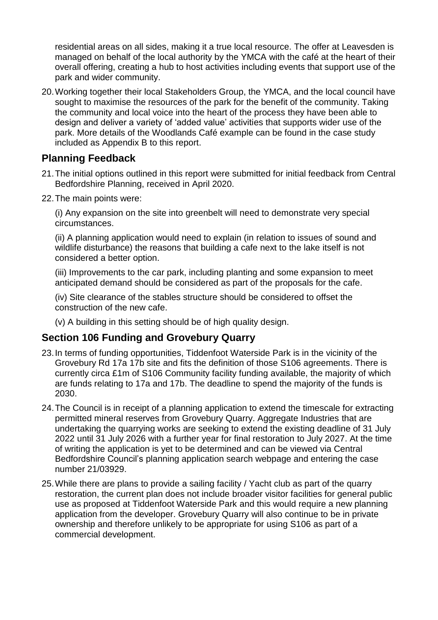residential areas on all sides, making it a true local resource. The offer at Leavesden is managed on behalf of the local authority by the YMCA with the café at the heart of their overall offering, creating a hub to host activities including events that support use of the park and wider community.

20.Working together their local Stakeholders Group, the YMCA, and the local council have sought to maximise the resources of the park for the benefit of the community. Taking the community and local voice into the heart of the process they have been able to design and deliver a variety of 'added value' activities that supports wider use of the park. More details of the Woodlands Café example can be found in the case study included as Appendix B to this report.

#### **Planning Feedback**

- 21.The initial options outlined in this report were submitted for initial feedback from Central Bedfordshire Planning, received in April 2020.
- 22.The main points were:

(i) Any expansion on the site into greenbelt will need to demonstrate very special circumstances.

(ii) A planning application would need to explain (in relation to issues of sound and wildlife disturbance) the reasons that building a cafe next to the lake itself is not considered a better option.

(iii) Improvements to the car park, including planting and some expansion to meet anticipated demand should be considered as part of the proposals for the cafe.

(iv) Site clearance of the stables structure should be considered to offset the construction of the new cafe.

(v) A building in this setting should be of high quality design.

### **Section 106 Funding and Grovebury Quarry**

- 23.In terms of funding opportunities, Tiddenfoot Waterside Park is in the vicinity of the Grovebury Rd 17a 17b site and fits the definition of those S106 agreements. There is currently circa £1m of S106 Community facility funding available, the majority of which are funds relating to 17a and 17b. The deadline to spend the majority of the funds is 2030.
- 24.The Council is in receipt of a planning application to extend the timescale for extracting permitted mineral reserves from Grovebury Quarry. Aggregate Industries that are undertaking the quarrying works are seeking to extend the existing deadline of 31 July 2022 until 31 July 2026 with a further year for final restoration to July 2027. At the time of writing the application is yet to be determined and can be viewed via Central Bedfordshire Council's planning application search webpage and entering the case number 21/03929.
- 25.While there are plans to provide a sailing facility / Yacht club as part of the quarry restoration, the current plan does not include broader visitor facilities for general public use as proposed at Tiddenfoot Waterside Park and this would require a new planning application from the developer. Grovebury Quarry will also continue to be in private ownership and therefore unlikely to be appropriate for using S106 as part of a commercial development.